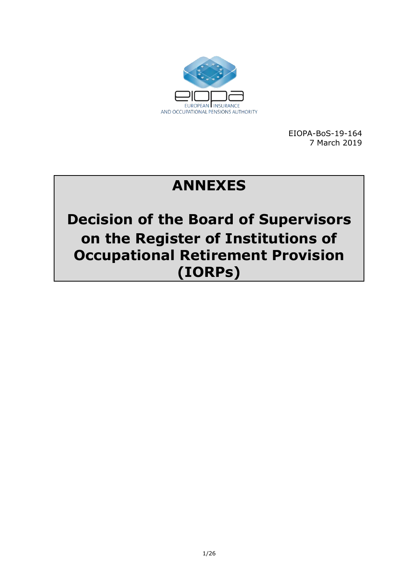

EIOPA-BoS-19-164 7 March 2019

# **ANNEXES**

**Decision of the Board of Supervisors on the Register of Institutions of Occupational Retirement Provision (IORPs)**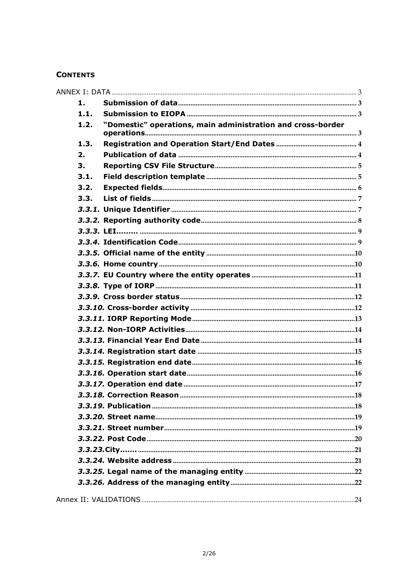#### **CONTENTS**

| 1.   |                                                             |
|------|-------------------------------------------------------------|
| 1.1. |                                                             |
| 1.2. | "Domestic" operations, main administration and cross-border |
| 1.3. |                                                             |
| 2.   |                                                             |
| 3.   |                                                             |
| 3.1. |                                                             |
| 3.2. |                                                             |
| 3.3. |                                                             |
|      |                                                             |
|      |                                                             |
|      |                                                             |
|      |                                                             |
|      |                                                             |
|      |                                                             |
|      |                                                             |
|      |                                                             |
|      |                                                             |
|      |                                                             |
|      |                                                             |
|      |                                                             |
|      |                                                             |
|      |                                                             |
|      |                                                             |
|      |                                                             |
|      |                                                             |
|      |                                                             |
|      |                                                             |
|      |                                                             |
|      |                                                             |
|      |                                                             |
|      |                                                             |
|      |                                                             |
|      |                                                             |
|      |                                                             |
|      |                                                             |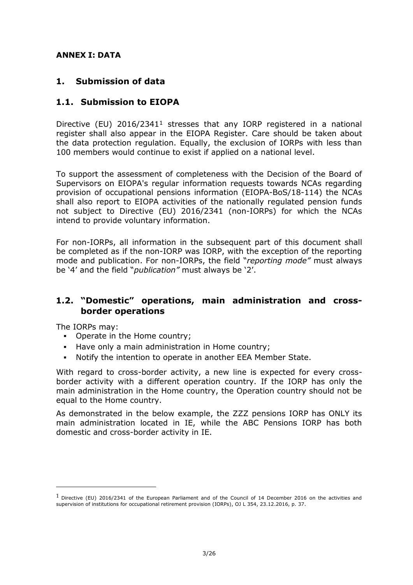### <span id="page-2-0"></span>**ANNEX I: DATA**

### <span id="page-2-1"></span>**1. Submission of data**

### <span id="page-2-2"></span>**1.1. Submission to EIOPA**

Directive (EU) 2016/2341<sup>1</sup> stresses that any IORP registered in a national register shall also appear in the EIOPA Register. Care should be taken about the data protection regulation. Equally, the exclusion of IORPs with less than 100 members would continue to exist if applied on a national level.

To support the assessment of completeness with the Decision of the Board of Supervisors on EIOPA's regular information requests towards NCAs regarding provision of occupational pensions information (EIOPA-BoS/18-114) the NCAs shall also report to EIOPA activities of the nationally regulated pension funds not subject to Directive (EU) 2016/2341 (non-IORPs) for which the NCAs intend to provide voluntary information.

For non-IORPs, all information in the subsequent part of this document shall be completed as if the non-IORP was IORP, with the exception of the reporting mode and publication. For non-IORPs, the field "*reporting mode"* must always be '4' and the field "*publication"* must always be '2'.

### <span id="page-2-3"></span>**1.2. "Domestic" operations, main administration and crossborder operations**

The IORPs may:

-

- Operate in the Home country;
- Have only a main administration in Home country;
- Notify the intention to operate in another EEA Member State.

With regard to cross-border activity, a new line is expected for every crossborder activity with a different operation country. If the IORP has only the main administration in the Home country, the Operation country should not be equal to the Home country.

As demonstrated in the below example, the ZZZ pensions IORP has ONLY its main administration located in IE, while the ABC Pensions IORP has both domestic and cross-border activity in IE.

 $1$  Directive (EU) 2016/2341 of the European Parliament and of the Council of 14 December 2016 on the activities and supervision of institutions for occupational retirement provision (IORPs), OJ L 354, 23.12.2016, p. 37.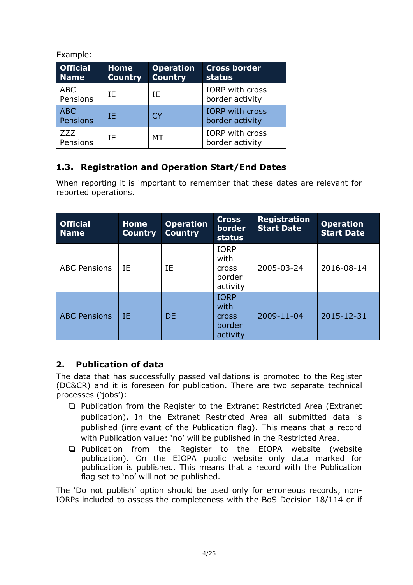### Example:

| <b>Official</b><br><b>Name</b> | <b>Home</b><br><b>Country</b> | <b>Operation</b><br><b>Country</b> | <b>Cross border</b><br>status             |
|--------------------------------|-------------------------------|------------------------------------|-------------------------------------------|
| <b>ABC</b><br>Pensions         | ΙF                            | ΙF                                 | <b>IORP</b> with cross<br>border activity |
| <b>ABC</b><br>Pensions         | ΙF                            | <b>CY</b>                          | <b>IORP</b> with cross<br>border activity |
| <b>ZZZ</b><br>Pensions         | ΙF                            | МT                                 | IORP with cross<br>border activity        |

## <span id="page-3-0"></span>**1.3. Registration and Operation Start/End Dates**

When reporting it is important to remember that these dates are relevant for reported operations.

| <b>Official</b><br><b>Name</b> | <b>Home</b><br><b>Country</b> | <b>Operation</b><br><b>Country</b> | <b>Cross</b><br><b>border</b><br>status                   | <b>Registration</b><br><b>Start Date</b> | <b>Operation</b><br><b>Start Date</b> |
|--------------------------------|-------------------------------|------------------------------------|-----------------------------------------------------------|------------------------------------------|---------------------------------------|
| <b>ABC Pensions</b>            | IE                            | IΕ                                 | <b>IORP</b><br>with<br><b>Cross</b><br>border<br>activity | 2005-03-24                               | 2016-08-14                            |
| <b>ABC Pensions</b>            | IE                            | <b>DE</b>                          | <b>IORP</b><br>with<br><b>Cross</b><br>border<br>activity | 2009-11-04                               | 2015-12-31                            |

## <span id="page-3-1"></span>**2. Publication of data**

The data that has successfully passed validations is promoted to the Register (DC&CR) and it is foreseen for publication. There are two separate technical processes ('jobs'):

- □ Publication from the Register to the Extranet Restricted Area (Extranet publication). In the Extranet Restricted Area all submitted data is published (irrelevant of the Publication flag). This means that a record with Publication value: 'no' will be published in the Restricted Area.
- Publication from the Register to the EIOPA website (website publication). On the EIOPA public website only data marked for publication is published. This means that a record with the Publication flag set to 'no' will not be published.

The 'Do not publish' option should be used only for erroneous records, non-IORPs included to assess the completeness with the BoS Decision 18/114 or if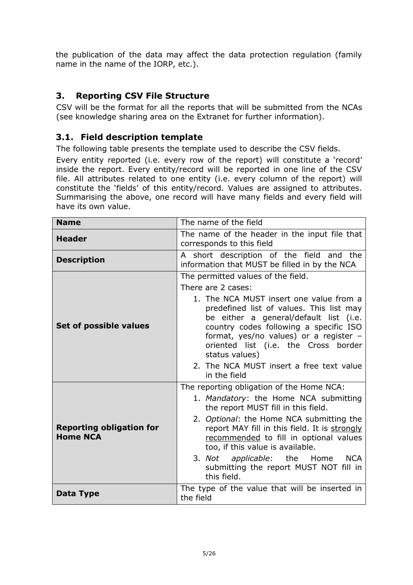the publication of the data may affect the data protection regulation (family name in the name of the IORP, etc.).

## <span id="page-4-0"></span>**3. Reporting CSV File Structure**

CSV will be the format for all the reports that will be submitted from the NCAs (see knowledge sharing area on the Extranet for further information).

### <span id="page-4-1"></span>**3.1. Field description template**

The following table presents the template used to describe the CSV fields.

Every entity reported (i.e. every row of the report) will constitute a 'record' inside the report. Every entity/record will be reported in one line of the CSV file. All attributes related to one entity (i.e. every column of the report) will constitute the 'fields' of this entity/record. Values are assigned to attributes. Summarising the above, one record will have many fields and every field will have its own value.

| <b>Name</b>                                        | The name of the field                                                                                                                                                                                                                                                                                                |
|----------------------------------------------------|----------------------------------------------------------------------------------------------------------------------------------------------------------------------------------------------------------------------------------------------------------------------------------------------------------------------|
| <b>Header</b>                                      | The name of the header in the input file that<br>corresponds to this field                                                                                                                                                                                                                                           |
| <b>Description</b>                                 | A short description of the field and the<br>information that MUST be filled in by the NCA                                                                                                                                                                                                                            |
| Set of possible values                             | The permitted values of the field.<br>There are 2 cases:<br>1. The NCA MUST insert one value from a<br>predefined list of values. This list may<br>be either a general/default list (i.e.<br>country codes following a specific ISO                                                                                  |
|                                                    | format, yes/no values) or a register -<br>oriented list (i.e. the Cross border<br>status values)<br>2. The NCA MUST insert a free text value<br>in the field                                                                                                                                                         |
|                                                    | The reporting obligation of the Home NCA:<br>1. Mandatory: the Home NCA submitting                                                                                                                                                                                                                                   |
| <b>Reporting obligation for</b><br><b>Home NCA</b> | the report MUST fill in this field.<br>2. Optional: the Home NCA submitting the<br>report MAY fill in this field. It is strongly<br>recommended to fill in optional values<br>too, if this value is available.<br>3. Not applicable: the Home<br><b>NCA</b><br>submitting the report MUST NOT fill in<br>this field. |
| Data Type                                          | The type of the value that will be inserted in<br>the field                                                                                                                                                                                                                                                          |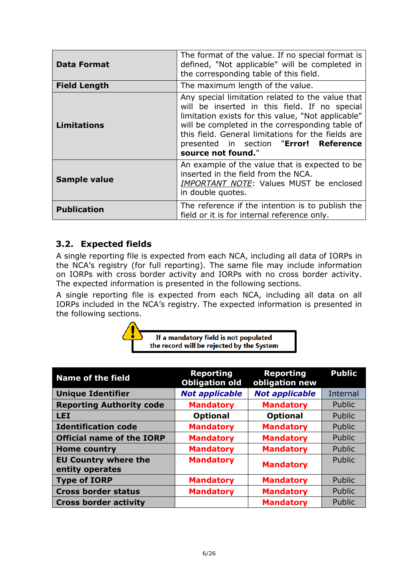| <b>Data Format</b>  | The format of the value. If no special format is<br>defined, "Not applicable" will be completed in<br>the corresponding table of this field.                                                                                                                                                                                     |  |
|---------------------|----------------------------------------------------------------------------------------------------------------------------------------------------------------------------------------------------------------------------------------------------------------------------------------------------------------------------------|--|
| <b>Field Length</b> | The maximum length of the value.                                                                                                                                                                                                                                                                                                 |  |
| <b>Limitations</b>  | Any special limitation related to the value that<br>will be inserted in this field. If no special<br>limitation exists for this value, "Not applicable"<br>will be completed in the corresponding table of<br>this field. General limitations for the fields are<br>presented in section "Error! Reference<br>source not found." |  |
| <b>Sample value</b> | An example of the value that is expected to be<br>inserted in the field from the NCA.<br>IMPORTANT NOTE: Values MUST be enclosed<br>in double quotes.                                                                                                                                                                            |  |
| <b>Publication</b>  | The reference if the intention is to publish the<br>field or it is for internal reference only.                                                                                                                                                                                                                                  |  |

## <span id="page-5-0"></span>**3.2. Expected fields**

A single reporting file is expected from each NCA, including all data of IORPs in the NCA's registry (for full reporting). The same file may include information on IORPs with cross border activity and IORPs with no cross border activity. The expected information is presented in the following sections.

A single reporting file is expected from each NCA, including all data on all IORPs included in the NCA's registry. The expected information is presented in the following sections.



If a mandatory field is not populated the record will be rejected by the System

| <b>Name of the field</b>                       | <b>Reporting</b><br><b>Obligation old</b> | <b>Reporting</b><br>obligation new | <b>Public</b>   |
|------------------------------------------------|-------------------------------------------|------------------------------------|-----------------|
| <b>Unique Identifier</b>                       | <b>Not applicable</b>                     | <b>Not applicable</b>              | <b>Internal</b> |
| <b>Reporting Authority code</b>                | <b>Mandatory</b>                          | <b>Mandatory</b>                   | Public          |
| <b>LEI</b>                                     | <b>Optional</b>                           | <b>Optional</b>                    | Public          |
| <b>Identification code</b>                     | <b>Mandatory</b>                          | <b>Mandatory</b>                   | Public          |
| <b>Official name of the IORP</b>               | <b>Mandatory</b>                          | <b>Mandatory</b>                   | Public          |
| <b>Home country</b>                            | <b>Mandatory</b>                          | <b>Mandatory</b>                   | Public          |
| <b>EU Country where the</b><br>entity operates | <b>Mandatory</b>                          | <b>Mandatory</b>                   | Public          |
| <b>Type of IORP</b>                            | <b>Mandatory</b>                          | <b>Mandatory</b>                   | Public          |
| <b>Cross border status</b>                     | <b>Mandatory</b>                          | <b>Mandatory</b>                   | Public          |
| <b>Cross border activity</b>                   |                                           | <b>Mandatory</b>                   | Public          |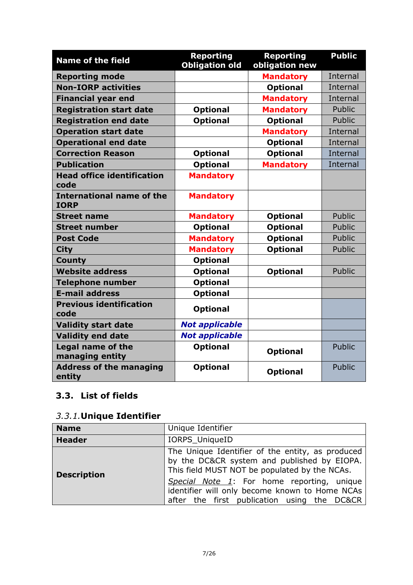| <b>Name of the field</b>                        | <b>Reporting</b><br><b>Obligation old</b> | <b>Reporting</b><br>obligation new | <b>Public</b>   |
|-------------------------------------------------|-------------------------------------------|------------------------------------|-----------------|
| <b>Reporting mode</b>                           |                                           | <b>Mandatory</b>                   | Internal        |
| <b>Non-IORP activities</b>                      |                                           | <b>Optional</b>                    | Internal        |
| <b>Financial year end</b>                       |                                           | <b>Mandatory</b>                   | Internal        |
| <b>Registration start date</b>                  | <b>Optional</b>                           | <b>Mandatory</b>                   | Public          |
| <b>Registration end date</b>                    | <b>Optional</b>                           | <b>Optional</b>                    | Public          |
| <b>Operation start date</b>                     |                                           | <b>Mandatory</b>                   | Internal        |
| <b>Operational end date</b>                     |                                           | <b>Optional</b>                    | <b>Internal</b> |
| <b>Correction Reason</b>                        | <b>Optional</b>                           | <b>Optional</b>                    | Internal        |
| <b>Publication</b>                              | <b>Optional</b>                           | <b>Mandatory</b>                   | Internal        |
| <b>Head office identification</b><br>code       | <b>Mandatory</b>                          |                                    |                 |
| <b>International name of the</b><br><b>IORP</b> | <b>Mandatory</b>                          |                                    |                 |
| <b>Street name</b>                              | <b>Mandatory</b>                          | <b>Optional</b>                    | Public          |
| <b>Street number</b>                            | <b>Optional</b>                           | <b>Optional</b>                    | Public          |
| <b>Post Code</b>                                | <b>Mandatory</b>                          | <b>Optional</b>                    | Public          |
| <b>City</b>                                     | <b>Mandatory</b>                          | <b>Optional</b>                    | Public          |
| <b>County</b>                                   | <b>Optional</b>                           |                                    |                 |
| <b>Website address</b>                          | <b>Optional</b>                           | <b>Optional</b>                    | Public          |
| <b>Telephone number</b>                         | <b>Optional</b>                           |                                    |                 |
| <b>E-mail address</b>                           | <b>Optional</b>                           |                                    |                 |
| <b>Previous identification</b><br>code          | <b>Optional</b>                           |                                    |                 |
| <b>Validity start date</b>                      | <b>Not applicable</b>                     |                                    |                 |
| <b>Validity end date</b>                        | <b>Not applicable</b>                     |                                    |                 |
| <b>Legal name of the</b><br>managing entity     | <b>Optional</b>                           | <b>Optional</b>                    | <b>Public</b>   |
| <b>Address of the managing</b><br>entity        | <b>Optional</b>                           | <b>Optional</b>                    | Public          |

## <span id="page-6-0"></span>**3.3. List of fields**

## <span id="page-6-1"></span>*3.3.1.***Unique Identifier**

| <b>Name</b>        | Unique Identifier                                                                                                                                |
|--------------------|--------------------------------------------------------------------------------------------------------------------------------------------------|
| <b>Header</b>      | IORPS_UniqueID                                                                                                                                   |
| <b>Description</b> | The Unique Identifier of the entity, as produced<br>by the DC&CR system and published by EIOPA.<br>This field MUST NOT be populated by the NCAs. |
|                    | Special Note 1: For home reporting, unique<br>identifier will only become known to Home NCAs<br>after the first publication using the DC&CR      |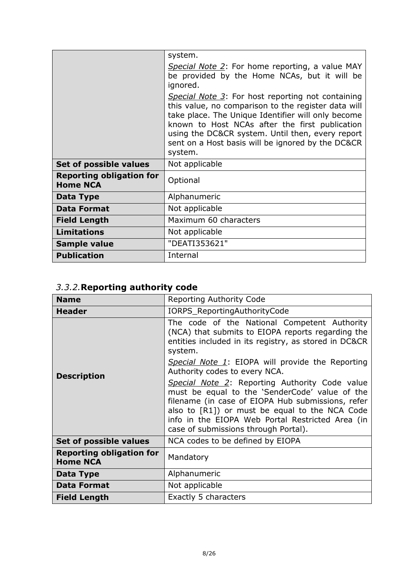|                                                    | system.                                                                                                                                                                                                                                                                                                                              |
|----------------------------------------------------|--------------------------------------------------------------------------------------------------------------------------------------------------------------------------------------------------------------------------------------------------------------------------------------------------------------------------------------|
|                                                    | Special Note 2: For home reporting, a value MAY<br>be provided by the Home NCAs, but it will be<br>ignored.                                                                                                                                                                                                                          |
|                                                    | Special Note 3: For host reporting not containing<br>this value, no comparison to the register data will<br>take place. The Unique Identifier will only become<br>known to Host NCAs after the first publication<br>using the DC&CR system. Until then, every report<br>sent on a Host basis will be ignored by the DC&CR<br>system. |
| Set of possible values                             | Not applicable                                                                                                                                                                                                                                                                                                                       |
| <b>Reporting obligation for</b><br><b>Home NCA</b> | Optional                                                                                                                                                                                                                                                                                                                             |
| Data Type                                          | Alphanumeric                                                                                                                                                                                                                                                                                                                         |
| <b>Data Format</b>                                 | Not applicable                                                                                                                                                                                                                                                                                                                       |
| <b>Field Length</b>                                | Maximum 60 characters                                                                                                                                                                                                                                                                                                                |
| <b>Limitations</b>                                 | Not applicable                                                                                                                                                                                                                                                                                                                       |
| Sample value                                       | "DEATI353621"                                                                                                                                                                                                                                                                                                                        |
| <b>Publication</b>                                 | Internal                                                                                                                                                                                                                                                                                                                             |

# <span id="page-7-0"></span>*3.3.2.***Reporting authority code**

| <b>Name</b>                                        | Reporting Authority Code                                                                                                                                                                                                                                                                                   |  |  |
|----------------------------------------------------|------------------------------------------------------------------------------------------------------------------------------------------------------------------------------------------------------------------------------------------------------------------------------------------------------------|--|--|
| <b>Header</b>                                      | IORPS_ReportingAuthorityCode                                                                                                                                                                                                                                                                               |  |  |
|                                                    | The code of the National Competent Authority<br>(NCA) that submits to EIOPA reports regarding the<br>entities included in its registry, as stored in DC&CR<br>system.                                                                                                                                      |  |  |
| <b>Description</b>                                 | Special Note 1: EIOPA will provide the Reporting<br>Authority codes to every NCA.                                                                                                                                                                                                                          |  |  |
|                                                    | <b>Special Note 2: Reporting Authority Code value</b><br>must be equal to the 'SenderCode' value of the<br>filename (in case of EIOPA Hub submissions, refer<br>also to [R1]) or must be equal to the NCA Code<br>info in the EIOPA Web Portal Restricted Area (in<br>case of submissions through Portal). |  |  |
| Set of possible values                             | NCA codes to be defined by EIOPA                                                                                                                                                                                                                                                                           |  |  |
| <b>Reporting obligation for</b><br><b>Home NCA</b> | Mandatory                                                                                                                                                                                                                                                                                                  |  |  |
| Data Type                                          | Alphanumeric                                                                                                                                                                                                                                                                                               |  |  |
| <b>Data Format</b>                                 | Not applicable                                                                                                                                                                                                                                                                                             |  |  |
| <b>Field Length</b>                                | Exactly 5 characters                                                                                                                                                                                                                                                                                       |  |  |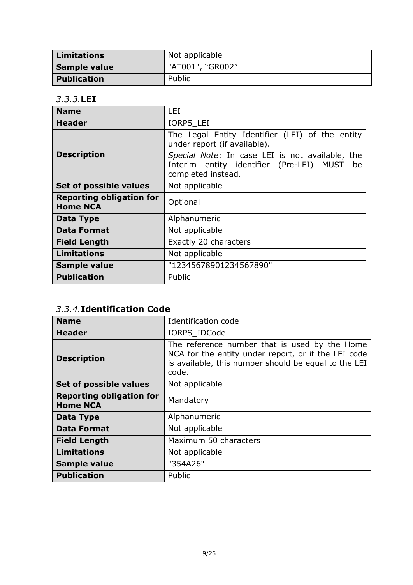| Limitations        | Not applicable   |
|--------------------|------------------|
| Sample value       | "AT001", "GR002" |
| <b>Publication</b> | Public           |

### <span id="page-8-0"></span>*3.3.3.***LEI**

| <b>Name</b>                                        | LEI                                                                                                                     |
|----------------------------------------------------|-------------------------------------------------------------------------------------------------------------------------|
| <b>Header</b>                                      | <b>IORPS LEI</b>                                                                                                        |
|                                                    | The Legal Entity Identifier (LEI) of the entity<br>under report (if available).                                         |
| <b>Description</b>                                 | Special Note: In case LEI is not available, the<br>Interim entity identifier (Pre-LEI) MUST<br>be<br>completed instead. |
| Set of possible values                             | Not applicable                                                                                                          |
| <b>Reporting obligation for</b><br><b>Home NCA</b> | Optional                                                                                                                |
| Data Type                                          | Alphanumeric                                                                                                            |
| <b>Data Format</b>                                 | Not applicable                                                                                                          |
| <b>Field Length</b>                                | Exactly 20 characters                                                                                                   |
| <b>Limitations</b>                                 | Not applicable                                                                                                          |
| Sample value                                       | "12345678901234567890"                                                                                                  |
| <b>Publication</b>                                 | Public                                                                                                                  |

## <span id="page-8-1"></span>*3.3.4.***Identification Code**

| <b>Name</b>                                        | Identification code                                                                                                                                                   |  |  |
|----------------------------------------------------|-----------------------------------------------------------------------------------------------------------------------------------------------------------------------|--|--|
| <b>Header</b>                                      | IORPS IDCode                                                                                                                                                          |  |  |
| <b>Description</b>                                 | The reference number that is used by the Home<br>NCA for the entity under report, or if the LEI code<br>is available, this number should be equal to the LEI<br>code. |  |  |
| Set of possible values                             | Not applicable                                                                                                                                                        |  |  |
| <b>Reporting obligation for</b><br><b>Home NCA</b> | Mandatory                                                                                                                                                             |  |  |
| Data Type                                          | Alphanumeric                                                                                                                                                          |  |  |
| <b>Data Format</b>                                 | Not applicable                                                                                                                                                        |  |  |
| <b>Field Length</b>                                | Maximum 50 characters                                                                                                                                                 |  |  |
| <b>Limitations</b>                                 | Not applicable                                                                                                                                                        |  |  |
| <b>Sample value</b>                                | "354A26"                                                                                                                                                              |  |  |
| <b>Publication</b>                                 | Public                                                                                                                                                                |  |  |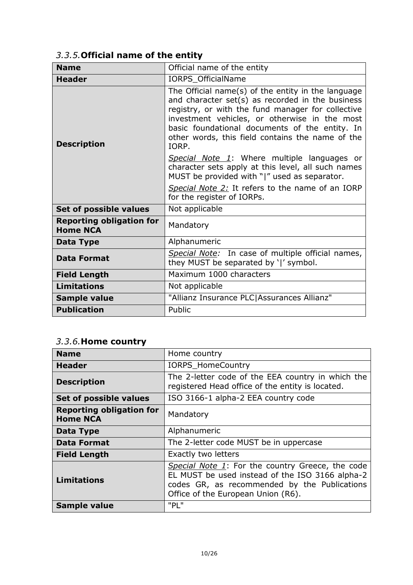# <span id="page-9-0"></span>*3.3.5.***Official name of the entity**

| <b>Name</b>                                        | Official name of the entity                                                                                                                                                                                                                                                                                                 |  |  |
|----------------------------------------------------|-----------------------------------------------------------------------------------------------------------------------------------------------------------------------------------------------------------------------------------------------------------------------------------------------------------------------------|--|--|
| <b>Header</b>                                      | IORPS_OfficialName                                                                                                                                                                                                                                                                                                          |  |  |
| <b>Description</b>                                 | The Official name(s) of the entity in the language<br>and character set(s) as recorded in the business<br>registry, or with the fund manager for collective<br>investment vehicles, or otherwise in the most<br>basic foundational documents of the entity. In<br>other words, this field contains the name of the<br>IORP. |  |  |
|                                                    | Special Note 1: Where multiple languages or<br>character sets apply at this level, all such names<br>MUST be provided with " " used as separator.                                                                                                                                                                           |  |  |
|                                                    | Special Note 2: It refers to the name of an IORP<br>for the register of IORPs.                                                                                                                                                                                                                                              |  |  |
| Set of possible values                             | Not applicable                                                                                                                                                                                                                                                                                                              |  |  |
| <b>Reporting obligation for</b><br><b>Home NCA</b> | Mandatory                                                                                                                                                                                                                                                                                                                   |  |  |
| Data Type                                          | Alphanumeric                                                                                                                                                                                                                                                                                                                |  |  |
| <b>Data Format</b>                                 | Special Note: In case of multiple official names,<br>they MUST be separated by ' ' symbol.                                                                                                                                                                                                                                  |  |  |
| <b>Field Length</b>                                | Maximum 1000 characters                                                                                                                                                                                                                                                                                                     |  |  |
| <b>Limitations</b>                                 | Not applicable                                                                                                                                                                                                                                                                                                              |  |  |
| <b>Sample value</b>                                | "Allianz Insurance PLC Assurances Allianz"                                                                                                                                                                                                                                                                                  |  |  |
| <b>Publication</b>                                 | Public                                                                                                                                                                                                                                                                                                                      |  |  |

## <span id="page-9-1"></span>*3.3.6.***Home country**

| <b>Name</b>                                        | Home country                                                                                                                                                                              |  |  |
|----------------------------------------------------|-------------------------------------------------------------------------------------------------------------------------------------------------------------------------------------------|--|--|
| <b>Header</b>                                      | <b>IORPS HomeCountry</b>                                                                                                                                                                  |  |  |
| <b>Description</b>                                 | The 2-letter code of the EEA country in which the<br>registered Head office of the entity is located.                                                                                     |  |  |
| Set of possible values                             | ISO 3166-1 alpha-2 EEA country code                                                                                                                                                       |  |  |
| <b>Reporting obligation for</b><br><b>Home NCA</b> | Mandatory                                                                                                                                                                                 |  |  |
| Data Type                                          | Alphanumeric                                                                                                                                                                              |  |  |
| <b>Data Format</b>                                 | The 2-letter code MUST be in uppercase                                                                                                                                                    |  |  |
| <b>Field Length</b>                                | Exactly two letters                                                                                                                                                                       |  |  |
| <b>Limitations</b>                                 | Special Note 1: For the country Greece, the code<br>EL MUST be used instead of the ISO 3166 alpha-2<br>codes GR, as recommended by the Publications<br>Office of the European Union (R6). |  |  |
| <b>Sample value</b>                                | "PL"                                                                                                                                                                                      |  |  |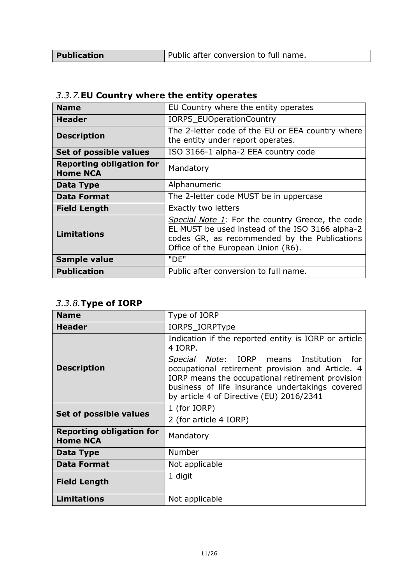Publication **Public after conversion to full name.** 

<span id="page-10-0"></span>

| 3.3.7. EU Country where the entity operates |  |
|---------------------------------------------|--|
|---------------------------------------------|--|

| <b>Name</b>                                        | EU Country where the entity operates                                                                                                                                                      |  |  |
|----------------------------------------------------|-------------------------------------------------------------------------------------------------------------------------------------------------------------------------------------------|--|--|
| Header                                             | IORPS_EUOperationCountry                                                                                                                                                                  |  |  |
| <b>Description</b>                                 | The 2-letter code of the EU or EEA country where<br>the entity under report operates.                                                                                                     |  |  |
| Set of possible values                             | ISO 3166-1 alpha-2 EEA country code                                                                                                                                                       |  |  |
| <b>Reporting obligation for</b><br><b>Home NCA</b> | Mandatory                                                                                                                                                                                 |  |  |
| Data Type                                          | Alphanumeric                                                                                                                                                                              |  |  |
| <b>Data Format</b>                                 | The 2-letter code MUST be in uppercase                                                                                                                                                    |  |  |
| <b>Field Length</b>                                | Exactly two letters                                                                                                                                                                       |  |  |
| <b>Limitations</b>                                 | Special Note 1: For the country Greece, the code<br>EL MUST be used instead of the ISO 3166 alpha-2<br>codes GR, as recommended by the Publications<br>Office of the European Union (R6). |  |  |
| Sample value                                       | "DE"                                                                                                                                                                                      |  |  |
| <b>Publication</b>                                 | Public after conversion to full name.                                                                                                                                                     |  |  |

## <span id="page-10-1"></span>*3.3.8.***Type of IORP**

| <b>Name</b>                                        | Type of IORP                                                                                                                                                                                                                                         |  |  |
|----------------------------------------------------|------------------------------------------------------------------------------------------------------------------------------------------------------------------------------------------------------------------------------------------------------|--|--|
| <b>Header</b>                                      | IORPS_IORPType                                                                                                                                                                                                                                       |  |  |
|                                                    | Indication if the reported entity is IORP or article<br>4 IORP.                                                                                                                                                                                      |  |  |
| <b>Description</b>                                 | Special Note: IORP means Institution<br>- for<br>occupational retirement provision and Article. 4<br>IORP means the occupational retirement provision<br>business of life insurance undertakings covered<br>by article 4 of Directive (EU) 2016/2341 |  |  |
| Set of possible values                             | 1 (for IORP)                                                                                                                                                                                                                                         |  |  |
|                                                    | 2 (for article 4 IORP)                                                                                                                                                                                                                               |  |  |
| <b>Reporting obligation for</b><br><b>Home NCA</b> | Mandatory                                                                                                                                                                                                                                            |  |  |
| Data Type                                          | Number                                                                                                                                                                                                                                               |  |  |
| <b>Data Format</b>                                 | Not applicable                                                                                                                                                                                                                                       |  |  |
| <b>Field Length</b>                                | 1 digit                                                                                                                                                                                                                                              |  |  |
| <b>Limitations</b>                                 | Not applicable                                                                                                                                                                                                                                       |  |  |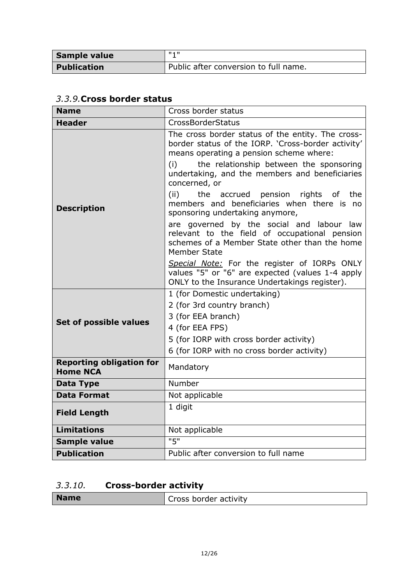| Sample value       | 11 4 H                                |
|--------------------|---------------------------------------|
| <b>Publication</b> | Public after conversion to full name. |

<span id="page-11-0"></span>

|  |  |  |  | 3.3.9. Cross border status |  |
|--|--|--|--|----------------------------|--|
|--|--|--|--|----------------------------|--|

| <b>Name</b>                                        | Cross border status                                                                                                                                                                                                                                                                                                  |  |  |
|----------------------------------------------------|----------------------------------------------------------------------------------------------------------------------------------------------------------------------------------------------------------------------------------------------------------------------------------------------------------------------|--|--|
| <b>Header</b>                                      | CrossBorderStatus                                                                                                                                                                                                                                                                                                    |  |  |
|                                                    | The cross border status of the entity. The cross-<br>border status of the IORP. 'Cross-border activity'<br>means operating a pension scheme where:<br>the relationship between the sponsoring<br>(i)<br>undertaking, and the members and beneficiaries<br>concerned, or<br>(ii)<br>the accrued pension rights of the |  |  |
| <b>Description</b>                                 | members and beneficiaries when there is no<br>sponsoring undertaking anymore,                                                                                                                                                                                                                                        |  |  |
|                                                    | are governed by the social and labour law<br>relevant to the field of occupational pension<br>schemes of a Member State other than the home<br><b>Member State</b>                                                                                                                                                   |  |  |
|                                                    | Special Note: For the register of IORPs ONLY<br>values "5" or "6" are expected (values 1-4 apply<br>ONLY to the Insurance Undertakings register).                                                                                                                                                                    |  |  |
|                                                    | 1 (for Domestic undertaking)                                                                                                                                                                                                                                                                                         |  |  |
|                                                    | 2 (for 3rd country branch)                                                                                                                                                                                                                                                                                           |  |  |
| <b>Set of possible values</b>                      | 3 (for EEA branch)                                                                                                                                                                                                                                                                                                   |  |  |
|                                                    | 4 (for EEA FPS)                                                                                                                                                                                                                                                                                                      |  |  |
|                                                    | 5 (for IORP with cross border activity)                                                                                                                                                                                                                                                                              |  |  |
|                                                    | 6 (for IORP with no cross border activity)                                                                                                                                                                                                                                                                           |  |  |
| <b>Reporting obligation for</b><br><b>Home NCA</b> | Mandatory                                                                                                                                                                                                                                                                                                            |  |  |
| <b>Data Type</b>                                   | Number                                                                                                                                                                                                                                                                                                               |  |  |
| <b>Data Format</b>                                 | Not applicable                                                                                                                                                                                                                                                                                                       |  |  |
| <b>Field Length</b>                                | 1 digit                                                                                                                                                                                                                                                                                                              |  |  |
| <b>Limitations</b>                                 | Not applicable                                                                                                                                                                                                                                                                                                       |  |  |
| Sample value                                       | "5"                                                                                                                                                                                                                                                                                                                  |  |  |
| <b>Publication</b>                                 | Public after conversion to full name                                                                                                                                                                                                                                                                                 |  |  |

# <span id="page-11-1"></span>*3.3.10.* **Cross-border activity**

| <b>Name</b><br>Cross border activity |
|--------------------------------------|
|--------------------------------------|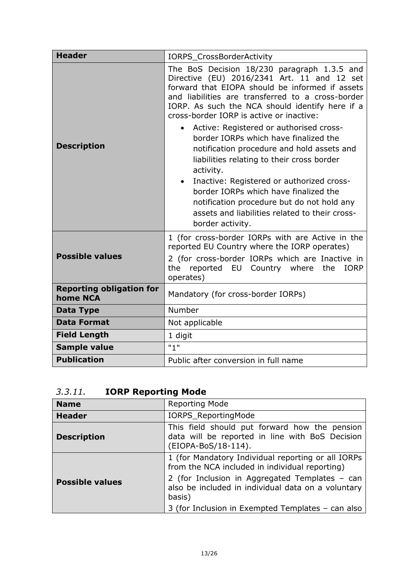| <b>Header</b>                               | IORPS_CrossBorderActivity                                                                                                                                                                                                                                                                                                                                                                                                                                                                                                                                                                                                                                                            |  |  |  |  |
|---------------------------------------------|--------------------------------------------------------------------------------------------------------------------------------------------------------------------------------------------------------------------------------------------------------------------------------------------------------------------------------------------------------------------------------------------------------------------------------------------------------------------------------------------------------------------------------------------------------------------------------------------------------------------------------------------------------------------------------------|--|--|--|--|
| <b>Description</b>                          | The BoS Decision 18/230 paragraph 1.3.5 and<br>Directive (EU) 2016/2341 Art. 11 and 12 set<br>forward that EIOPA should be informed if assets<br>and liabilities are transferred to a cross-border<br>IORP. As such the NCA should identify here if a<br>cross-border IORP is active or inactive:<br>Active: Registered or authorised cross-<br>border IORPs which have finalized the<br>notification procedure and hold assets and<br>liabilities relating to their cross border<br>activity.<br>Inactive: Registered or authorized cross-<br>border IORPs which have finalized the<br>notification procedure but do not hold any<br>assets and liabilities related to their cross- |  |  |  |  |
|                                             | border activity.                                                                                                                                                                                                                                                                                                                                                                                                                                                                                                                                                                                                                                                                     |  |  |  |  |
| <b>Possible values</b>                      | 1 (for cross-border IORPs with are Active in the<br>reported EU Country where the IORP operates)<br>2 (for cross-border IORPs which are Inactive in<br>the<br>reported EU Country where the<br><b>IORP</b><br>operates)                                                                                                                                                                                                                                                                                                                                                                                                                                                              |  |  |  |  |
| <b>Reporting obligation for</b><br>home NCA | Mandatory (for cross-border IORPs)                                                                                                                                                                                                                                                                                                                                                                                                                                                                                                                                                                                                                                                   |  |  |  |  |
| <b>Data Type</b>                            | Number                                                                                                                                                                                                                                                                                                                                                                                                                                                                                                                                                                                                                                                                               |  |  |  |  |
| <b>Data Format</b>                          | Not applicable                                                                                                                                                                                                                                                                                                                                                                                                                                                                                                                                                                                                                                                                       |  |  |  |  |
| <b>Field Length</b>                         | 1 digit                                                                                                                                                                                                                                                                                                                                                                                                                                                                                                                                                                                                                                                                              |  |  |  |  |
| <b>Sample value</b>                         | "1"                                                                                                                                                                                                                                                                                                                                                                                                                                                                                                                                                                                                                                                                                  |  |  |  |  |
| <b>Publication</b>                          | Public after conversion in full name                                                                                                                                                                                                                                                                                                                                                                                                                                                                                                                                                                                                                                                 |  |  |  |  |

<span id="page-12-0"></span>

| 3.3.11. | <b>IORP Reporting Mode</b> |  |
|---------|----------------------------|--|
|         |                            |  |

| <b>Name</b>            | Reporting Mode                                                                                                          |
|------------------------|-------------------------------------------------------------------------------------------------------------------------|
| <b>Header</b>          | <b>IORPS ReportingMode</b>                                                                                              |
| <b>Description</b>     | This field should put forward how the pension<br>data will be reported in line with BoS Decision<br>(EIOPA-BoS/18-114). |
| <b>Possible values</b> | 1 (for Mandatory Individual reporting or all IORPs<br>from the NCA included in individual reporting)                    |
|                        | 2 (for Inclusion in Aggregated Templates - can<br>also be included in individual data on a voluntary<br>basis)          |
|                        | 3 (for Inclusion in Exempted Templates - can also                                                                       |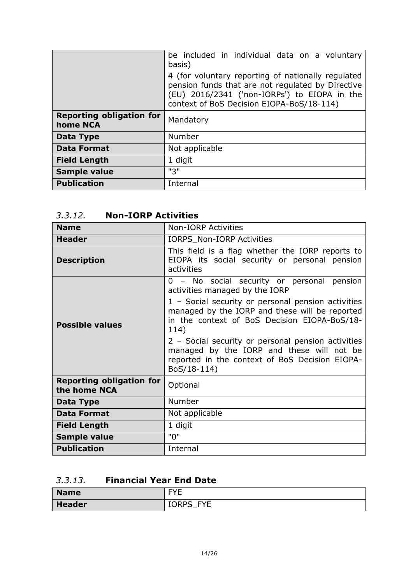|                                             | be included in individual data on a voluntary<br>basis)                                                                                                                                              |
|---------------------------------------------|------------------------------------------------------------------------------------------------------------------------------------------------------------------------------------------------------|
|                                             | 4 (for voluntary reporting of nationally regulated<br>pension funds that are not regulated by Directive<br>(EU) 2016/2341 ('non-IORPs') to EIOPA in the<br>context of BoS Decision EIOPA-BoS/18-114) |
| <b>Reporting obligation for</b><br>home NCA | Mandatory                                                                                                                                                                                            |
| Data Type                                   | Number                                                                                                                                                                                               |
| <b>Data Format</b>                          | Not applicable                                                                                                                                                                                       |
| <b>Field Length</b>                         | 1 digit                                                                                                                                                                                              |
| <b>Sample value</b>                         | "3"                                                                                                                                                                                                  |
| <b>Publication</b>                          | Internal                                                                                                                                                                                             |

## <span id="page-13-0"></span>*3.3.12.* **Non-IORP Activities**

| <b>Name</b>                                     | <b>Non-IORP Activities</b>                                                                                                                                       |
|-------------------------------------------------|------------------------------------------------------------------------------------------------------------------------------------------------------------------|
| <b>Header</b>                                   | <b>IORPS Non-IORP Activities</b>                                                                                                                                 |
| <b>Description</b>                              | This field is a flag whether the IORP reports to<br>EIOPA its social security or personal pension<br>activities                                                  |
| <b>Possible values</b>                          | 0 - No social security or personal pension<br>activities managed by the IORP                                                                                     |
|                                                 | 1 - Social security or personal pension activities<br>managed by the IORP and these will be reported<br>in the context of BoS Decision EIOPA-BoS/18-<br>114)     |
|                                                 | 2 - Social security or personal pension activities<br>managed by the IORP and these will not be<br>reported in the context of BoS Decision EIOPA-<br>BoS/18-114) |
| <b>Reporting obligation for</b><br>the home NCA | Optional                                                                                                                                                         |
| Data Type                                       | Number                                                                                                                                                           |
| <b>Data Format</b>                              | Not applicable                                                                                                                                                   |
| <b>Field Length</b>                             | 1 digit                                                                                                                                                          |
| Sample value                                    | "0"                                                                                                                                                              |
| <b>Publication</b>                              | Internal                                                                                                                                                         |

## <span id="page-13-1"></span>*3.3.13.* **Financial Year End Date**

| <b>Name</b>   | <b>EVE</b><br>-                       |
|---------------|---------------------------------------|
| <b>Header</b> | <b>IORPS</b><br><b>FVF</b><br>ب<br>╹┕ |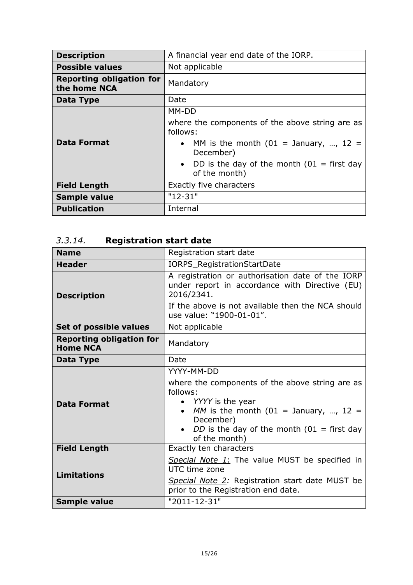| <b>Description</b>                              | A financial year end date of the IORP.                                                                                                                                                                     |
|-------------------------------------------------|------------------------------------------------------------------------------------------------------------------------------------------------------------------------------------------------------------|
| <b>Possible values</b>                          | Not applicable                                                                                                                                                                                             |
| <b>Reporting obligation for</b><br>the home NCA | Mandatory                                                                                                                                                                                                  |
| Data Type                                       | Date                                                                                                                                                                                                       |
| <b>Data Format</b>                              | MM-DD<br>where the components of the above string are as<br>follows:<br>MM is the month (01 = January, , 12 =<br>$\bullet$<br>December)<br>• DD is the day of the month $(01 =$ first day<br>of the month) |
| <b>Field Length</b>                             | <b>Exactly five characters</b>                                                                                                                                                                             |
| <b>Sample value</b>                             | $"12-31"$                                                                                                                                                                                                  |
| <b>Publication</b>                              | Internal                                                                                                                                                                                                   |

# <span id="page-14-0"></span>*3.3.14.* **Registration start date**

| <b>Name</b>                                        | Registration start date                                                                                                                                                                                                        |
|----------------------------------------------------|--------------------------------------------------------------------------------------------------------------------------------------------------------------------------------------------------------------------------------|
| <b>Header</b>                                      | IORPS_RegistrationStartDate                                                                                                                                                                                                    |
| <b>Description</b>                                 | A registration or authorisation date of the IORP<br>under report in accordance with Directive (EU)<br>2016/2341.                                                                                                               |
|                                                    | If the above is not available then the NCA should<br>use value: "1900-01-01".                                                                                                                                                  |
| Set of possible values                             | Not applicable                                                                                                                                                                                                                 |
| <b>Reporting obligation for</b><br><b>Home NCA</b> | Mandatory                                                                                                                                                                                                                      |
| <b>Data Type</b>                                   | Date                                                                                                                                                                                                                           |
| <b>Data Format</b>                                 | YYYY-MM-DD<br>where the components of the above string are as<br>follows:<br>• <i>YYYY</i> is the year<br>MM is the month (01 = January, , 12 =<br>December)<br>DD is the day of the month ( $01$ = first day<br>of the month) |
| <b>Field Length</b>                                | Exactly ten characters                                                                                                                                                                                                         |
| <b>Limitations</b>                                 | Special Note 1: The value MUST be specified in<br>UTC time zone<br>Special Note 2: Registration start date MUST be<br>prior to the Registration end date.                                                                      |
| Sample value                                       | "2011-12-31"                                                                                                                                                                                                                   |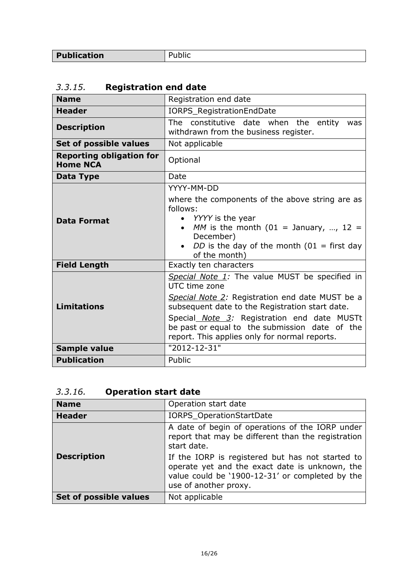# <span id="page-15-0"></span>*3.3.15.* **Registration end date**

| <b>Name</b>                                        | Registration end date                                                                                                                                                                                                                                                                                                   |
|----------------------------------------------------|-------------------------------------------------------------------------------------------------------------------------------------------------------------------------------------------------------------------------------------------------------------------------------------------------------------------------|
| <b>Header</b>                                      | IORPS_RegistrationEndDate                                                                                                                                                                                                                                                                                               |
| <b>Description</b>                                 | The constitutive date when the entity<br>was<br>withdrawn from the business register.                                                                                                                                                                                                                                   |
| Set of possible values                             | Not applicable                                                                                                                                                                                                                                                                                                          |
| <b>Reporting obligation for</b><br><b>Home NCA</b> | Optional                                                                                                                                                                                                                                                                                                                |
| Data Type                                          | Date                                                                                                                                                                                                                                                                                                                    |
| <b>Data Format</b>                                 | YYYY-MM-DD<br>where the components of the above string are as<br>follows:<br>YYYY is the year<br>MM is the month (01 = January, , 12 =<br>December)<br>DD is the day of the month $(01 =$ first day<br>of the month)                                                                                                    |
| <b>Field Length</b>                                | Exactly ten characters                                                                                                                                                                                                                                                                                                  |
| <b>Limitations</b>                                 | Special Note 1: The value MUST be specified in<br>UTC time zone<br>Special Note 2: Registration end date MUST be a<br>subsequent date to the Registration start date.<br>Special Note 3: Registration end date MUSTt<br>be past or equal to the submission date of the<br>report. This applies only for normal reports. |
| Sample value                                       | "2012-12-31"                                                                                                                                                                                                                                                                                                            |
| <b>Publication</b>                                 | Public                                                                                                                                                                                                                                                                                                                  |

# <span id="page-15-1"></span>*3.3.16.* **Operation start date**

| <b>Name</b>            | Operation start date                                                                                                                                                           |
|------------------------|--------------------------------------------------------------------------------------------------------------------------------------------------------------------------------|
| <b>Header</b>          | IORPS_OperationStartDate                                                                                                                                                       |
|                        | A date of begin of operations of the IORP under<br>report that may be different than the registration<br>start date.                                                           |
| <b>Description</b>     | If the IORP is registered but has not started to<br>operate yet and the exact date is unknown, the<br>value could be '1900-12-31' or completed by the<br>use of another proxy. |
| Set of possible values | Not applicable                                                                                                                                                                 |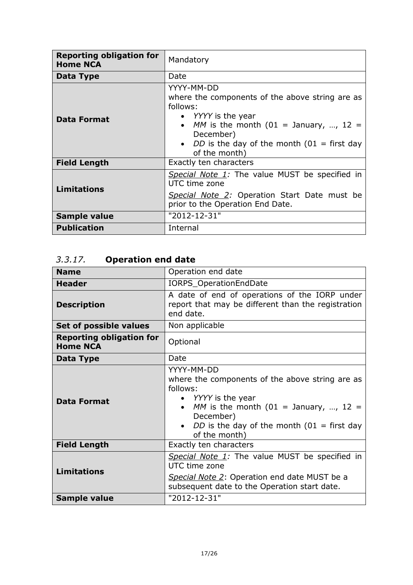| <b>Reporting obligation for</b><br><b>Home NCA</b> | Mandatory                                                                                                                                                                                                                                  |
|----------------------------------------------------|--------------------------------------------------------------------------------------------------------------------------------------------------------------------------------------------------------------------------------------------|
| Data Type                                          | Date                                                                                                                                                                                                                                       |
| <b>Data Format</b>                                 | YYYY-MM-DD<br>where the components of the above string are as<br>follows:<br>• <i>YYYY</i> is the year<br>• MM is the month $(01 =$ January, , 12 =<br>December)<br>• <i>DD</i> is the day of the month $(01 =$ first day<br>of the month) |
| <b>Field Length</b>                                | Exactly ten characters                                                                                                                                                                                                                     |
| <b>Limitations</b>                                 | Special Note 1: The value MUST be specified in<br>UTC time zone<br>Special Note 2: Operation Start Date must be<br>prior to the Operation End Date.                                                                                        |
| Sample value                                       | "2012-12-31"                                                                                                                                                                                                                               |
| <b>Publication</b>                                 | Internal                                                                                                                                                                                                                                   |

# <span id="page-16-0"></span>*3.3.17.* **Operation end date**

| <b>Name</b>                                        | Operation end date                                                                                                                                                                                                            |
|----------------------------------------------------|-------------------------------------------------------------------------------------------------------------------------------------------------------------------------------------------------------------------------------|
| <b>Header</b>                                      | IORPS_OperationEndDate                                                                                                                                                                                                        |
| <b>Description</b>                                 | A date of end of operations of the IORP under<br>report that may be different than the registration<br>end date.                                                                                                              |
| Set of possible values                             | Non applicable                                                                                                                                                                                                                |
| <b>Reporting obligation for</b><br><b>Home NCA</b> | Optional                                                                                                                                                                                                                      |
| Data Type                                          | Date                                                                                                                                                                                                                          |
| <b>Data Format</b>                                 | YYYY-MM-DD<br>where the components of the above string are as<br>follows:<br>• <i>YYYY</i> is the year<br>MM is the month (01 = January, , 12 =<br>December)<br>DD is the day of the month $(01 =$ first day<br>of the month) |
| <b>Field Length</b>                                | Exactly ten characters                                                                                                                                                                                                        |
| <b>Limitations</b>                                 | Special Note 1: The value MUST be specified in<br>UTC time zone<br>Special Note 2: Operation end date MUST be a<br>subsequent date to the Operation start date.                                                               |
| Sample value                                       | "2012-12-31"                                                                                                                                                                                                                  |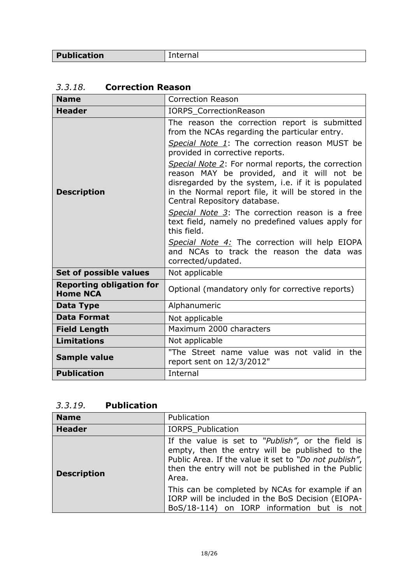Publication Internal

| <b>Name</b>                                        | <b>Correction Reason</b>                                                                                                                                                                                                                      |
|----------------------------------------------------|-----------------------------------------------------------------------------------------------------------------------------------------------------------------------------------------------------------------------------------------------|
| <b>Header</b>                                      | <b>IORPS CorrectionReason</b>                                                                                                                                                                                                                 |
| <b>Description</b>                                 | The reason the correction report is submitted<br>from the NCAs regarding the particular entry.                                                                                                                                                |
|                                                    | Special Note 1: The correction reason MUST be<br>provided in corrective reports.                                                                                                                                                              |
|                                                    | Special Note 2: For normal reports, the correction<br>reason MAY be provided, and it will not be<br>disregarded by the system, i.e. if it is populated<br>in the Normal report file, it will be stored in the<br>Central Repository database. |
|                                                    | Special Note 3: The correction reason is a free<br>text field, namely no predefined values apply for<br>this field.                                                                                                                           |
|                                                    | Special Note 4: The correction will help EIOPA<br>and NCAs to track the reason the data was<br>corrected/updated.                                                                                                                             |
| Set of possible values                             | Not applicable                                                                                                                                                                                                                                |
| <b>Reporting obligation for</b><br><b>Home NCA</b> | Optional (mandatory only for corrective reports)                                                                                                                                                                                              |
| <b>Data Type</b>                                   | Alphanumeric                                                                                                                                                                                                                                  |
| <b>Data Format</b>                                 | Not applicable                                                                                                                                                                                                                                |
| <b>Field Length</b>                                | Maximum 2000 characters                                                                                                                                                                                                                       |
| <b>Limitations</b>                                 | Not applicable                                                                                                                                                                                                                                |
| <b>Sample value</b>                                | "The Street name value was not valid in the<br>report sent on 12/3/2012"                                                                                                                                                                      |
| <b>Publication</b>                                 | Internal                                                                                                                                                                                                                                      |

### <span id="page-17-0"></span>*3.3.18.* **Correction Reason**

## <span id="page-17-1"></span>*3.3.19.* **Publication**

| <b>Name</b>        | Publication                                                                                                                                                                                                                 |
|--------------------|-----------------------------------------------------------------------------------------------------------------------------------------------------------------------------------------------------------------------------|
| <b>Header</b>      | <b>IORPS Publication</b>                                                                                                                                                                                                    |
| <b>Description</b> | If the value is set to "Publish", or the field is<br>empty, then the entry will be published to the<br>Public Area. If the value it set to "Do not publish",<br>then the entry will not be published in the Public<br>Area. |
|                    | This can be completed by NCAs for example if an<br>IORP will be included in the BoS Decision (EIOPA-<br>BoS/18-114) on IORP information but is not                                                                          |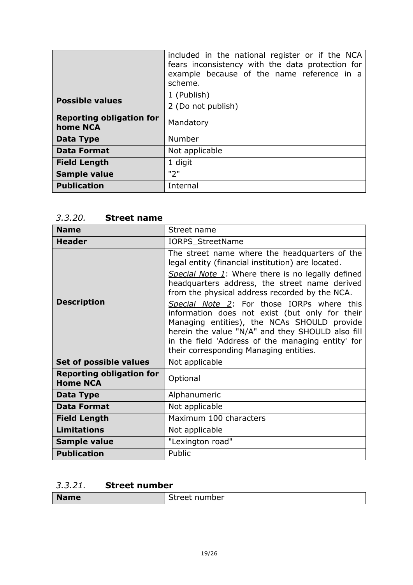|                                             | included in the national register or if the NCA<br>fears inconsistency with the data protection for<br>example because of the name reference in a<br>scheme. |
|---------------------------------------------|--------------------------------------------------------------------------------------------------------------------------------------------------------------|
| <b>Possible values</b>                      | 1 (Publish)                                                                                                                                                  |
|                                             | 2 (Do not publish)                                                                                                                                           |
| <b>Reporting obligation for</b><br>home NCA | Mandatory                                                                                                                                                    |
| Data Type                                   | <b>Number</b>                                                                                                                                                |
| <b>Data Format</b>                          | Not applicable                                                                                                                                               |
| <b>Field Length</b>                         | 1 digit                                                                                                                                                      |
| <b>Sample value</b>                         | "2"                                                                                                                                                          |
| <b>Publication</b>                          | Internal                                                                                                                                                     |

### <span id="page-18-0"></span>*3.3.20.* **Street name**

| <b>Name</b>                                        | Street name                                                                                                                                                                                                                                                                                    |
|----------------------------------------------------|------------------------------------------------------------------------------------------------------------------------------------------------------------------------------------------------------------------------------------------------------------------------------------------------|
| <b>Header</b>                                      | IORPS_StreetName                                                                                                                                                                                                                                                                               |
| <b>Description</b>                                 | The street name where the headquarters of the<br>legal entity (financial institution) are located.                                                                                                                                                                                             |
|                                                    | Special Note 1: Where there is no legally defined<br>headquarters address, the street name derived<br>from the physical address recorded by the NCA.                                                                                                                                           |
|                                                    | Special Note 2: For those IORPs where this<br>information does not exist (but only for their<br>Managing entities), the NCAs SHOULD provide<br>herein the value "N/A" and they SHOULD also fill<br>in the field 'Address of the managing entity' for<br>their corresponding Managing entities. |
| Set of possible values                             | Not applicable                                                                                                                                                                                                                                                                                 |
| <b>Reporting obligation for</b><br><b>Home NCA</b> | Optional                                                                                                                                                                                                                                                                                       |
| Data Type                                          | Alphanumeric                                                                                                                                                                                                                                                                                   |
| <b>Data Format</b>                                 | Not applicable                                                                                                                                                                                                                                                                                 |
| <b>Field Length</b>                                | Maximum 100 characters                                                                                                                                                                                                                                                                         |
| <b>Limitations</b>                                 | Not applicable                                                                                                                                                                                                                                                                                 |
| Sample value                                       | "Lexington road"                                                                                                                                                                                                                                                                               |
| <b>Publication</b>                                 | Public                                                                                                                                                                                                                                                                                         |

## <span id="page-18-1"></span>*3.3.21.* **Street number**

| <b>Name</b> | number<br>reet: |
|-------------|-----------------|
|             |                 |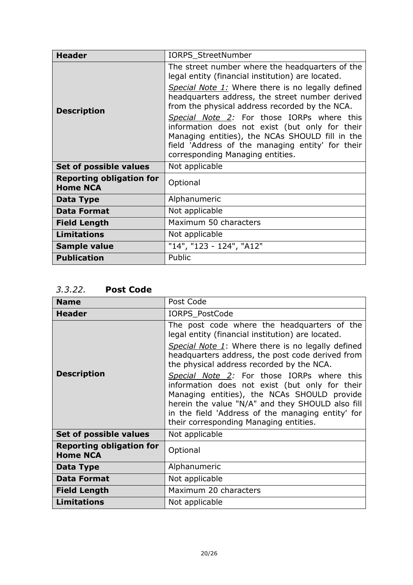| <b>Header</b>                                      | IORPS_StreetNumber                                                                                                                                                                                                                      |
|----------------------------------------------------|-----------------------------------------------------------------------------------------------------------------------------------------------------------------------------------------------------------------------------------------|
| <b>Description</b>                                 | The street number where the headquarters of the<br>legal entity (financial institution) are located.                                                                                                                                    |
|                                                    | Special Note 1: Where there is no legally defined<br>headquarters address, the street number derived<br>from the physical address recorded by the NCA.                                                                                  |
|                                                    | Special Note 2: For those IORPs where this<br>information does not exist (but only for their<br>Managing entities), the NCAs SHOULD fill in the<br>field 'Address of the managing entity' for their<br>corresponding Managing entities. |
| Set of possible values                             | Not applicable                                                                                                                                                                                                                          |
| <b>Reporting obligation for</b><br><b>Home NCA</b> | Optional                                                                                                                                                                                                                                |
| Data Type                                          | Alphanumeric                                                                                                                                                                                                                            |
| <b>Data Format</b>                                 | Not applicable                                                                                                                                                                                                                          |
| <b>Field Length</b>                                | Maximum 50 characters                                                                                                                                                                                                                   |
| <b>Limitations</b>                                 | Not applicable                                                                                                                                                                                                                          |
| Sample value                                       | "14", "123 - 124", "A12"                                                                                                                                                                                                                |
| <b>Publication</b>                                 | Public                                                                                                                                                                                                                                  |

<span id="page-19-0"></span>*3.3.22.* **Post Code**

| <b>Name</b>                                        | Post Code                                                                                                                                                                                                                                                                                      |
|----------------------------------------------------|------------------------------------------------------------------------------------------------------------------------------------------------------------------------------------------------------------------------------------------------------------------------------------------------|
| <b>Header</b>                                      | <b>IORPS PostCode</b>                                                                                                                                                                                                                                                                          |
| <b>Description</b>                                 | The post code where the headquarters of the<br>legal entity (financial institution) are located.                                                                                                                                                                                               |
|                                                    | Special Note 1: Where there is no legally defined<br>headquarters address, the post code derived from<br>the physical address recorded by the NCA.                                                                                                                                             |
|                                                    | Special Note 2: For those IORPs where this<br>information does not exist (but only for their<br>Managing entities), the NCAs SHOULD provide<br>herein the value "N/A" and they SHOULD also fill<br>in the field 'Address of the managing entity' for<br>their corresponding Managing entities. |
| Set of possible values                             | Not applicable                                                                                                                                                                                                                                                                                 |
| <b>Reporting obligation for</b><br><b>Home NCA</b> | Optional                                                                                                                                                                                                                                                                                       |
| Data Type                                          | Alphanumeric                                                                                                                                                                                                                                                                                   |
| <b>Data Format</b>                                 | Not applicable                                                                                                                                                                                                                                                                                 |
| <b>Field Length</b>                                | Maximum 20 characters                                                                                                                                                                                                                                                                          |
| <b>Limitations</b>                                 | Not applicable                                                                                                                                                                                                                                                                                 |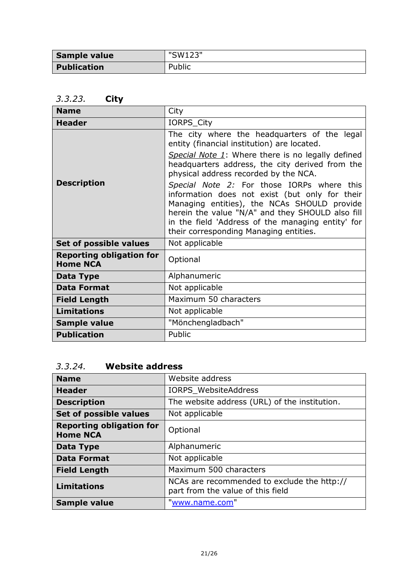| Sample value       | "SW123" |
|--------------------|---------|
| <b>Publication</b> | Public  |

## <span id="page-20-0"></span>*3.3.23.* **City**

| <b>Name</b>                                        | City                                                                                                                                                                                                                                                                                           |
|----------------------------------------------------|------------------------------------------------------------------------------------------------------------------------------------------------------------------------------------------------------------------------------------------------------------------------------------------------|
| <b>Header</b>                                      | IORPS_City                                                                                                                                                                                                                                                                                     |
| <b>Description</b>                                 | The city where the headquarters of the legal<br>entity (financial institution) are located.                                                                                                                                                                                                    |
|                                                    | Special Note 1: Where there is no legally defined<br>headquarters address, the city derived from the<br>physical address recorded by the NCA.                                                                                                                                                  |
|                                                    | Special Note 2: For those IORPs where this<br>information does not exist (but only for their<br>Managing entities), the NCAs SHOULD provide<br>herein the value "N/A" and they SHOULD also fill<br>in the field 'Address of the managing entity' for<br>their corresponding Managing entities. |
| Set of possible values                             | Not applicable                                                                                                                                                                                                                                                                                 |
| <b>Reporting obligation for</b><br><b>Home NCA</b> | Optional                                                                                                                                                                                                                                                                                       |
| Data Type                                          | Alphanumeric                                                                                                                                                                                                                                                                                   |
| <b>Data Format</b>                                 | Not applicable                                                                                                                                                                                                                                                                                 |
| <b>Field Length</b>                                | Maximum 50 characters                                                                                                                                                                                                                                                                          |
| <b>Limitations</b>                                 | Not applicable                                                                                                                                                                                                                                                                                 |
| <b>Sample value</b>                                | "Mönchengladbach"                                                                                                                                                                                                                                                                              |
| <b>Publication</b>                                 | Public                                                                                                                                                                                                                                                                                         |

## <span id="page-20-1"></span>*3.3.24.* **Website address**

| <b>Name</b>                                        | Website address                                                                  |
|----------------------------------------------------|----------------------------------------------------------------------------------|
| <b>Header</b>                                      | IORPS_WebsiteAddress                                                             |
| <b>Description</b>                                 | The website address (URL) of the institution.                                    |
| Set of possible values                             | Not applicable                                                                   |
| <b>Reporting obligation for</b><br><b>Home NCA</b> | Optional                                                                         |
| Data Type                                          | Alphanumeric                                                                     |
| <b>Data Format</b>                                 | Not applicable                                                                   |
| <b>Field Length</b>                                | Maximum 500 characters                                                           |
| <b>Limitations</b>                                 | NCAs are recommended to exclude the http://<br>part from the value of this field |
| <b>Sample value</b>                                | "www.name.com"                                                                   |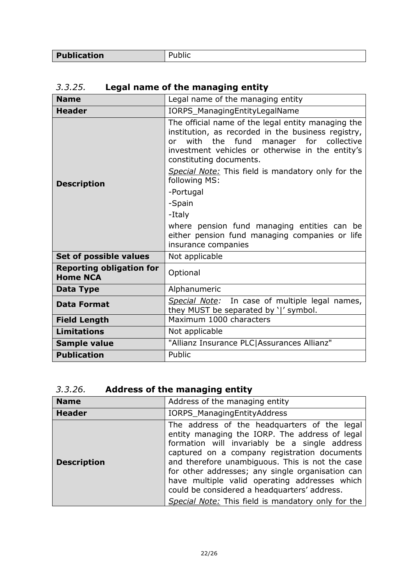| Publication | ,,,, |
|-------------|------|
|             |      |

# <span id="page-21-0"></span>*3.3.25.* **Legal name of the managing entity**

| <b>Name</b>                                        | Legal name of the managing entity                                                                                                                                                                                                                                                                                                                                                                                                                                     |
|----------------------------------------------------|-----------------------------------------------------------------------------------------------------------------------------------------------------------------------------------------------------------------------------------------------------------------------------------------------------------------------------------------------------------------------------------------------------------------------------------------------------------------------|
| <b>Header</b>                                      | IORPS_ManagingEntityLegalName                                                                                                                                                                                                                                                                                                                                                                                                                                         |
| <b>Description</b>                                 | The official name of the legal entity managing the<br>institution, as recorded in the business registry,<br>with the fund manager for collective<br>0r<br>investment vehicles or otherwise in the entity's<br>constituting documents.<br>Special Note: This field is mandatory only for the<br>following MS:<br>-Portugal<br>-Spain<br>-Italy<br>where pension fund managing entities can be<br>either pension fund managing companies or life<br>insurance companies |
| Set of possible values                             | Not applicable                                                                                                                                                                                                                                                                                                                                                                                                                                                        |
| <b>Reporting obligation for</b><br><b>Home NCA</b> | Optional                                                                                                                                                                                                                                                                                                                                                                                                                                                              |
| Data Type                                          | Alphanumeric                                                                                                                                                                                                                                                                                                                                                                                                                                                          |
| <b>Data Format</b>                                 | Special Note: In case of multiple legal names,<br>they MUST be separated by ' ' symbol.                                                                                                                                                                                                                                                                                                                                                                               |
| <b>Field Length</b>                                | Maximum 1000 characters                                                                                                                                                                                                                                                                                                                                                                                                                                               |
| <b>Limitations</b>                                 | Not applicable                                                                                                                                                                                                                                                                                                                                                                                                                                                        |
| Sample value                                       | "Allianz Insurance PLC Assurances Allianz"                                                                                                                                                                                                                                                                                                                                                                                                                            |
| <b>Publication</b>                                 | Public                                                                                                                                                                                                                                                                                                                                                                                                                                                                |

# <span id="page-21-1"></span>*3.3.26.* **Address of the managing entity**

| <b>Name</b>        | Address of the managing entity                                                                                                                                                                                                                                                                                                                                                                                                                                |
|--------------------|---------------------------------------------------------------------------------------------------------------------------------------------------------------------------------------------------------------------------------------------------------------------------------------------------------------------------------------------------------------------------------------------------------------------------------------------------------------|
| <b>Header</b>      | IORPS_ManagingEntityAddress                                                                                                                                                                                                                                                                                                                                                                                                                                   |
| <b>Description</b> | The address of the headquarters of the legal<br>entity managing the IORP. The address of legal<br>formation will invariably be a single address<br>captured on a company registration documents<br>and therefore unambiguous. This is not the case<br>for other addresses; any single organisation can<br>have multiple valid operating addresses which<br>could be considered a headquarters' address.<br>Special Note: This field is mandatory only for the |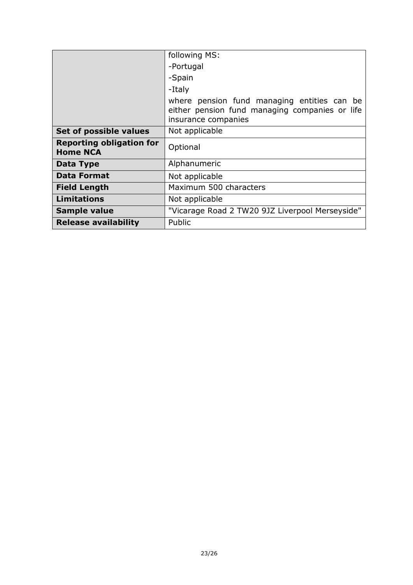|                                                    | following MS:                                                                                                        |
|----------------------------------------------------|----------------------------------------------------------------------------------------------------------------------|
|                                                    | -Portugal                                                                                                            |
|                                                    | -Spain                                                                                                               |
|                                                    | -Italy                                                                                                               |
|                                                    | where pension fund managing entities can be<br>either pension fund managing companies or life<br>insurance companies |
| Set of possible values                             | Not applicable                                                                                                       |
|                                                    |                                                                                                                      |
| <b>Reporting obligation for</b><br><b>Home NCA</b> | Optional                                                                                                             |
| Data Type                                          | Alphanumeric                                                                                                         |
| <b>Data Format</b>                                 | Not applicable                                                                                                       |
| <b>Field Length</b>                                | Maximum 500 characters                                                                                               |
| <b>Limitations</b>                                 | Not applicable                                                                                                       |
| <b>Sample value</b>                                | "Vicarage Road 2 TW20 9JZ Liverpool Merseyside"                                                                      |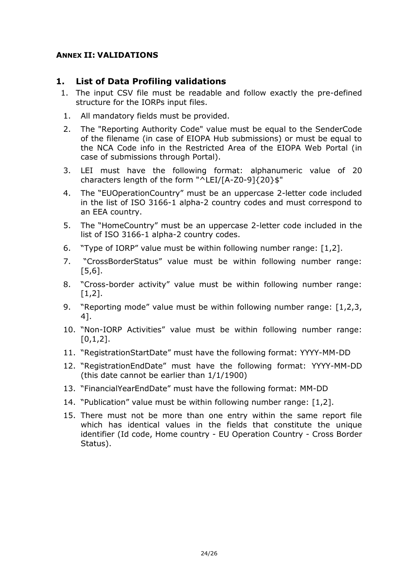#### <span id="page-23-0"></span>**ANNEX II: VALIDATIONS**

### **1. List of Data Profiling validations**

- 1. The input CSV file must be readable and follow exactly the pre-defined structure for the IORPs input files.
- 1. All mandatory fields must be provided.
- 2. The "Reporting Authority Code" value must be equal to the SenderCode of the filename (in case of EIOPA Hub submissions) or must be equal to the NCA Code info in the Restricted Area of the EIOPA Web Portal (in case of submissions through Portal).
- 3. LEI must have the following format: alphanumeric value of 20 characters length of the form "^LEI/[A-Z0-9]{20}\$"
- 4. The "EUOperationCountry" must be an uppercase 2-letter code included in the list of ISO 3166-1 alpha-2 country codes and must correspond to an EEA country.
- 5. The "HomeCountry" must be an uppercase 2-letter code included in the list of ISO 3166-1 alpha-2 country codes.
- 6. "Type of IORP" value must be within following number range: [1,2].
- 7. "CrossBorderStatus" value must be within following number range: [5,6].
- 8. "Cross-border activity" value must be within following number range: [1,2].
- 9. "Reporting mode" value must be within following number range: [1,2,3, 4].
- 10. "Non-IORP Activities" value must be within following number range:  $[0,1,2]$ .
- 11. "RegistrationStartDate" must have the following format: YYYY-MM-DD
- 12. "RegistrationEndDate" must have the following format: YYYY-MM-DD (this date cannot be earlier than 1/1/1900)
- 13. "FinancialYearEndDate" must have the following format: MM-DD
- 14. "Publication" value must be within following number range: [1,2].
- 15. There must not be more than one entry within the same report file which has identical values in the fields that constitute the unique identifier (Id code, Home country - EU Operation Country - Cross Border Status).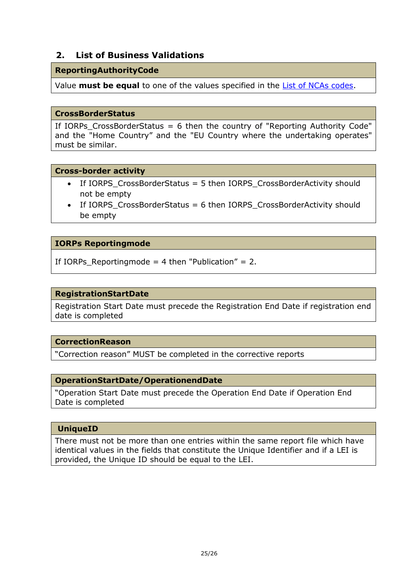### **2. List of Business Validations**

#### **ReportingAuthorityCode**

Value **must be equal** to one of the values specified in the **List of NCAs codes**.

#### **CrossBorderStatus**

If IORPs CrossBorderStatus = 6 then the country of "Reporting Authority Code" and the "Home Country" and the "EU Country where the undertaking operates" must be similar.

#### **Cross-border activity**

- If IORPS CrossBorderStatus = 5 then IORPS CrossBorderActivity should not be empty
- $\bullet$  If IORPS CrossBorderStatus = 6 then IORPS CrossBorderActivity should be empty

#### **IORPs Reportingmode**

If IORPs\_Reportingmode = 4 then "Publication" = 2.

#### **RegistrationStartDate**

Registration Start Date must precede the Registration End Date if registration end date is completed

#### **CorrectionReason**

"Correction reason" MUST be completed in the corrective reports

#### **OperationStartDate/OperationendDate**

"Operation Start Date must precede the Operation End Date if Operation End Date is completed

#### **UniqueID**

There must not be more than one entries within the same report file which have identical values in the fields that constitute the Unique Identifier and if a LEI is provided, the Unique ID should be equal to the LEI.